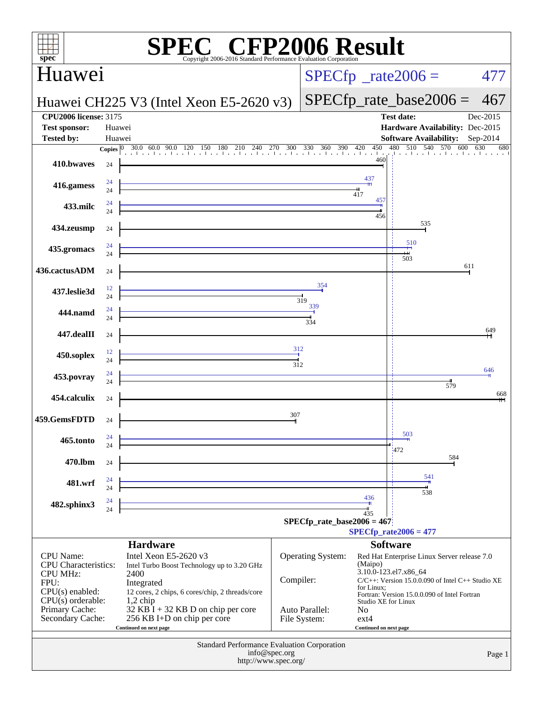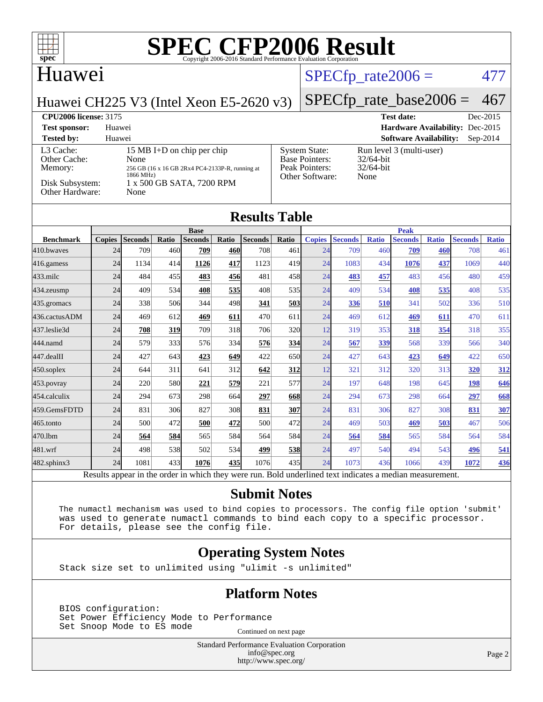

### Huawei

## $SPECTp_rate2006 = 477$

Huawei CH225 V3 (Intel Xeon E5-2620 v3) [SPECfp\\_rate\\_base2006 =](http://www.spec.org/auto/cpu2006/Docs/result-fields.html#SPECfpratebase2006)  $467$ 

| <b>CPU2006 license: 3175</b>                                               |                                                                                                                                         |                                                                                    | <b>Test date:</b>                                                | Dec-2015   |
|----------------------------------------------------------------------------|-----------------------------------------------------------------------------------------------------------------------------------------|------------------------------------------------------------------------------------|------------------------------------------------------------------|------------|
| <b>Test sponsor:</b>                                                       | Huawei                                                                                                                                  |                                                                                    | Hardware Availability: Dec-2015                                  |            |
| <b>Tested by:</b>                                                          | Huawei                                                                                                                                  |                                                                                    | <b>Software Availability:</b>                                    | $Sep-2014$ |
| L3 Cache:<br>Other Cache:<br>Memory:<br>Disk Subsystem:<br>Other Hardware: | 15 MB I+D on chip per chip<br>None<br>256 GB (16 x 16 GB 2Rx4 PC4-2133P-R, running at<br>1866 MHz)<br>1 x 500 GB SATA, 7200 RPM<br>None | <b>System State:</b><br><b>Base Pointers:</b><br>Peak Pointers:<br>Other Software: | Run level 3 (multi-user)<br>$32/64$ -bit<br>$32/64$ -bit<br>None |            |

### **[Results Table](http://www.spec.org/auto/cpu2006/Docs/result-fields.html#ResultsTable)**

|                          |               |                 |            | <b>Base</b>    |       |                |               | <b>Peak</b>            |                 |              |                |              |                |              |
|--------------------------|---------------|-----------------|------------|----------------|-------|----------------|---------------|------------------------|-----------------|--------------|----------------|--------------|----------------|--------------|
| <b>Benchmark</b>         | <b>Copies</b> | <b>Seconds</b>  | Ratio      | <b>Seconds</b> | Ratio | <b>Seconds</b> | Ratio         | <b>Copies</b>          | <b>Seconds</b>  | <b>Ratio</b> | <b>Seconds</b> | <b>Ratio</b> | <b>Seconds</b> | <b>Ratio</b> |
| 410.bwayes               | 24            | 709             | 460        | 709            | 460   | 708            | 461           | 24                     | 709             | 460          | 709            | 460          | 708            | 461          |
| 416.gamess               | 24            | 1134            | 414        | 1126           | 417   | 1123           | 419           | 24                     | 1083            | 434          | 1076           | 437          | 1069           | 440          |
| 433.milc                 | 24            | 484             | 455        | 483            | 456   | 481            | 458           | 24                     | <b>483</b>      | 457          | 483            | 456          | 480            | 459          |
| 434.zeusmp               | 24            | 409             | 534        | 408            | 535   | 408            | 535I          | 24                     | 409             | 534          | 408            | 535          | 408            | 535          |
| 435.gromacs              | 24            | 338             | 506        | 344            | 498   | 341            | 503           | 24                     | 336             | 510          | 341            | 502          | 336            | 510          |
| 436.cactusADM            | 24            | 469             | 612        | 469            | 611   | 470            | 611           | 24                     | 469             | 612          | 469            | 611          | 470            | 611          |
| 437.leslie3d             | 24            | 708             | <u>319</u> | 709            | 318   | 706            | <b>320</b>    | 12                     | 319             | 353          | 318            | 354          | 318            | 355          |
| 444.namd                 | 24            | 579             | 333        | 576            | 334   | 576            | 334           | 24                     | 567             | 339          | 568            | 339          | 566            | 340          |
| 447.dealII               | 24            | 427             | 643        | 423            | 649   | 422            | 650l          | 24                     | 427             | 643          | 423            | 649          | 422            | 650          |
| $450$ .soplex            | 24            | 644             | 311        | 641            | 312   | 642            | 312           | 12                     | 321             | 312          | 320            | 313          | 320            | 312          |
| $453$ .povray            | 24            | 220             | 580        | 221            | 579   | 221            | 577           | 24                     | 197             | 648          | 198            | 645          | 198            | 646          |
| 454.calculix             | 24            | 294             | 673        | 298            | 664   | 297            | 668           | 24                     | 294             | 673          | 298            | 664          | 297            | 668          |
| 459.GemsFDTD             | 24            | 831             | 306        | 827            | 308   | 831            | 307           | 24                     | 831             | 306          | 827            | 308          | 831            | 307          |
| 465.tonto                | 24            | 500             | 472        | 500            | 472   | 500            | 472           | 24                     | 469             | 503          | 469            | 503          | 467            | 506          |
| 470.1bm                  | 24            | 564             | 584        | 565            | 584   | 564            | 584           | 24                     | 564             | 584          | 565            | 584          | 564            | 584          |
| 481.wrf                  | 24            | 498             | 538        | 502            | 534   | 499            | 538           | 24                     | 497             | 540          | 494            | 543          | 496            | 541          |
| 482.sphinx3              | 24            | 1081            | 433        | 1076           | 435   | 1076           | 435           | 24                     | 1073            | 436          | 1066           | 439          | 1072           | 436          |
| $\overline{\phantom{a}}$ |               | $\cdot$ $\cdot$ | $\sim$     | $\cdots$       |       |                | $\sim$ $\sim$ | $\cdot$ $\cdot$<br>. . | $\cdot$ $\cdot$ |              |                |              |                |              |

Results appear in the [order in which they were run.](http://www.spec.org/auto/cpu2006/Docs/result-fields.html#RunOrder) Bold underlined text [indicates a median measurement.](http://www.spec.org/auto/cpu2006/Docs/result-fields.html#Median)

### **[Submit Notes](http://www.spec.org/auto/cpu2006/Docs/result-fields.html#SubmitNotes)**

 The numactl mechanism was used to bind copies to processors. The config file option 'submit' was used to generate numactl commands to bind each copy to a specific processor. For details, please see the config file.

### **[Operating System Notes](http://www.spec.org/auto/cpu2006/Docs/result-fields.html#OperatingSystemNotes)**

Stack size set to unlimited using "ulimit -s unlimited"

### **[Platform Notes](http://www.spec.org/auto/cpu2006/Docs/result-fields.html#PlatformNotes)**

 BIOS configuration: Set Power Efficiency Mode to Performance Set Snoop Mode to ES mode<br>
Continued on next page

Standard Performance Evaluation Corporation [info@spec.org](mailto:info@spec.org) <http://www.spec.org/>

Page 2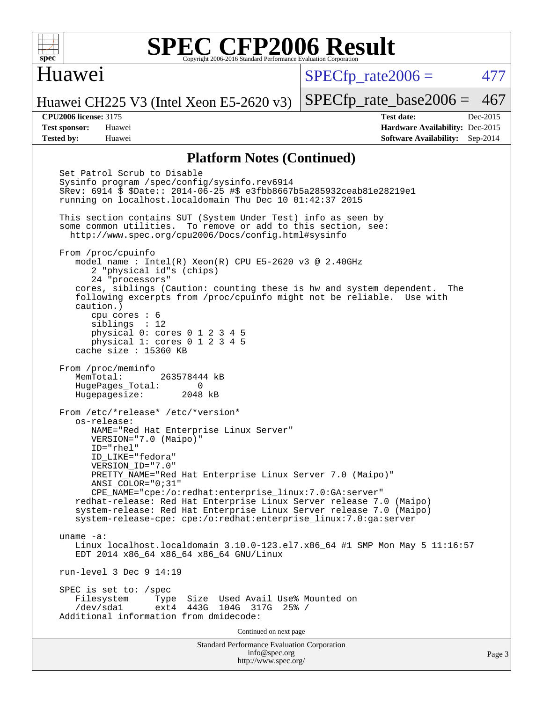

### Huawei

 $SPECTp\_rate2006 = 477$ 

Huawei CH225 V3 (Intel Xeon E5-2620 v3)

**[Tested by:](http://www.spec.org/auto/cpu2006/Docs/result-fields.html#Testedby)** Huawei **[Software Availability:](http://www.spec.org/auto/cpu2006/Docs/result-fields.html#SoftwareAvailability)** Sep-2014

[SPECfp\\_rate\\_base2006 =](http://www.spec.org/auto/cpu2006/Docs/result-fields.html#SPECfpratebase2006) 467 **[CPU2006 license:](http://www.spec.org/auto/cpu2006/Docs/result-fields.html#CPU2006license)** 3175 **[Test date:](http://www.spec.org/auto/cpu2006/Docs/result-fields.html#Testdate)** Dec-2015 **[Test sponsor:](http://www.spec.org/auto/cpu2006/Docs/result-fields.html#Testsponsor)** Huawei **[Hardware Availability:](http://www.spec.org/auto/cpu2006/Docs/result-fields.html#HardwareAvailability)** Dec-2015

### **[Platform Notes \(Continued\)](http://www.spec.org/auto/cpu2006/Docs/result-fields.html#PlatformNotes)**

Standard Performance Evaluation Corporation [info@spec.org](mailto:info@spec.org) <http://www.spec.org/> Set Patrol Scrub to Disable Sysinfo program /spec/config/sysinfo.rev6914 \$Rev: 6914 \$ \$Date:: 2014-06-25 #\$ e3fbb8667b5a285932ceab81e28219e1 running on localhost.localdomain Thu Dec 10 01:42:37 2015 This section contains SUT (System Under Test) info as seen by some common utilities. To remove or add to this section, see: <http://www.spec.org/cpu2006/Docs/config.html#sysinfo> From /proc/cpuinfo model name : Intel(R) Xeon(R) CPU E5-2620 v3 @ 2.40GHz 2 "physical id"s (chips) 24 "processors" cores, siblings (Caution: counting these is hw and system dependent. The following excerpts from /proc/cpuinfo might not be reliable. Use with caution.) cpu cores : 6 siblings : 12 physical 0: cores 0 1 2 3 4 5 physical 1: cores 0 1 2 3 4 5 cache size : 15360 KB From /proc/meminfo MemTotal: 263578444 kB HugePages\_Total: 0<br>Hugepagesize: 2048 kB Hugepagesize: From /etc/\*release\* /etc/\*version\* os-release: NAME="Red Hat Enterprise Linux Server" VERSION="7.0 (Maipo)" ID="rhel" ID\_LIKE="fedora" VERSION\_ID="7.0" PRETTY NAME="Red Hat Enterprise Linux Server 7.0 (Maipo)" ANSI\_COLOR="0;31" CPE\_NAME="cpe:/o:redhat:enterprise\_linux:7.0:GA:server" redhat-release: Red Hat Enterprise Linux Server release 7.0 (Maipo) system-release: Red Hat Enterprise Linux Server release 7.0 (Maipo) system-release-cpe: cpe:/o:redhat:enterprise\_linux:7.0:ga:server uname -a: Linux localhost.localdomain 3.10.0-123.el7.x86\_64 #1 SMP Mon May 5 11:16:57 EDT 2014 x86\_64 x86\_64 x86\_64 GNU/Linux run-level 3 Dec 9 14:19 SPEC is set to: /spec Filesystem Type Size Used Avail Use% Mounted on<br>
/dev/sdal ext4 443G 104G 317G 25% / 104G 317G 25% / Additional information from dmidecode: Continued on next page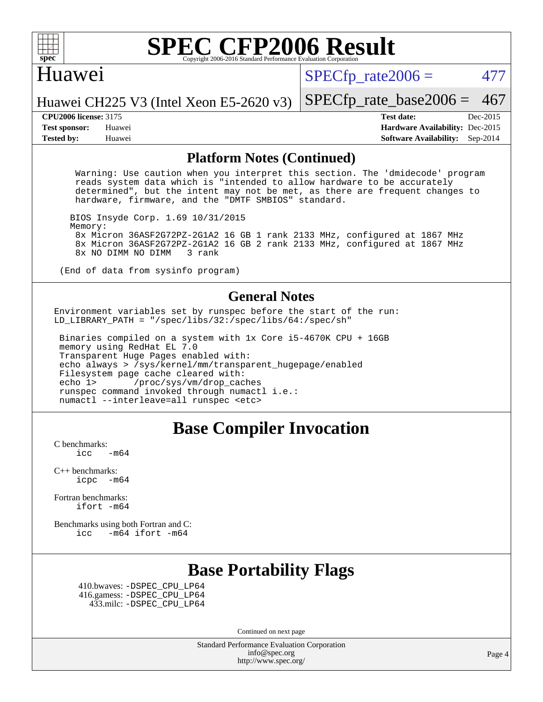

### Huawei

 $SPECTp\_rate2006 = 477$ 

[SPECfp\\_rate\\_base2006 =](http://www.spec.org/auto/cpu2006/Docs/result-fields.html#SPECfpratebase2006) 467

Huawei CH225 V3 (Intel Xeon E5-2620 v3)

**[Tested by:](http://www.spec.org/auto/cpu2006/Docs/result-fields.html#Testedby)** Huawei **[Software Availability:](http://www.spec.org/auto/cpu2006/Docs/result-fields.html#SoftwareAvailability)** Sep-2014

**[CPU2006 license:](http://www.spec.org/auto/cpu2006/Docs/result-fields.html#CPU2006license)** 3175 **[Test date:](http://www.spec.org/auto/cpu2006/Docs/result-fields.html#Testdate)** Dec-2015 **[Test sponsor:](http://www.spec.org/auto/cpu2006/Docs/result-fields.html#Testsponsor)** Huawei **[Hardware Availability:](http://www.spec.org/auto/cpu2006/Docs/result-fields.html#HardwareAvailability)** Dec-2015

### **[Platform Notes \(Continued\)](http://www.spec.org/auto/cpu2006/Docs/result-fields.html#PlatformNotes)**

 Warning: Use caution when you interpret this section. The 'dmidecode' program reads system data which is "intended to allow hardware to be accurately determined", but the intent may not be met, as there are frequent changes to hardware, firmware, and the "DMTF SMBIOS" standard.

 BIOS Insyde Corp. 1.69 10/31/2015 Memory: 8x Micron 36ASF2G72PZ-2G1A2 16 GB 1 rank 2133 MHz, configured at 1867 MHz 8x Micron 36ASF2G72PZ-2G1A2 16 GB 2 rank 2133 MHz, configured at 1867 MHz 8x NO DIMM NO DIMM

(End of data from sysinfo program)

### **[General Notes](http://www.spec.org/auto/cpu2006/Docs/result-fields.html#GeneralNotes)**

Environment variables set by runspec before the start of the run: LD LIBRARY PATH = "/spec/libs/32:/spec/libs/64:/spec/sh"

 Binaries compiled on a system with 1x Core i5-4670K CPU + 16GB memory using RedHat EL 7.0 Transparent Huge Pages enabled with: echo always > /sys/kernel/mm/transparent\_hugepage/enabled Filesystem page cache cleared with: echo 1> /proc/sys/vm/drop\_caches runspec command invoked through numactl i.e.: numactl --interleave=all runspec <etc>

### **[Base Compiler Invocation](http://www.spec.org/auto/cpu2006/Docs/result-fields.html#BaseCompilerInvocation)**

[C benchmarks](http://www.spec.org/auto/cpu2006/Docs/result-fields.html#Cbenchmarks):  $\text{icc}$  -m64

[C++ benchmarks:](http://www.spec.org/auto/cpu2006/Docs/result-fields.html#CXXbenchmarks)  $i<sub>core</sub>$   $-m64$ 

[Fortran benchmarks](http://www.spec.org/auto/cpu2006/Docs/result-fields.html#Fortranbenchmarks): [ifort -m64](http://www.spec.org/cpu2006/results/res2016q1/cpu2006-20160107-38596.flags.html#user_FCbase_intel_ifort_64bit_ee9d0fb25645d0210d97eb0527dcc06e)

[Benchmarks using both Fortran and C](http://www.spec.org/auto/cpu2006/Docs/result-fields.html#BenchmarksusingbothFortranandC): [icc -m64](http://www.spec.org/cpu2006/results/res2016q1/cpu2006-20160107-38596.flags.html#user_CC_FCbase_intel_icc_64bit_0b7121f5ab7cfabee23d88897260401c) [ifort -m64](http://www.spec.org/cpu2006/results/res2016q1/cpu2006-20160107-38596.flags.html#user_CC_FCbase_intel_ifort_64bit_ee9d0fb25645d0210d97eb0527dcc06e)

## **[Base Portability Flags](http://www.spec.org/auto/cpu2006/Docs/result-fields.html#BasePortabilityFlags)**

 410.bwaves: [-DSPEC\\_CPU\\_LP64](http://www.spec.org/cpu2006/results/res2016q1/cpu2006-20160107-38596.flags.html#suite_basePORTABILITY410_bwaves_DSPEC_CPU_LP64) 416.gamess: [-DSPEC\\_CPU\\_LP64](http://www.spec.org/cpu2006/results/res2016q1/cpu2006-20160107-38596.flags.html#suite_basePORTABILITY416_gamess_DSPEC_CPU_LP64) 433.milc: [-DSPEC\\_CPU\\_LP64](http://www.spec.org/cpu2006/results/res2016q1/cpu2006-20160107-38596.flags.html#suite_basePORTABILITY433_milc_DSPEC_CPU_LP64)

Continued on next page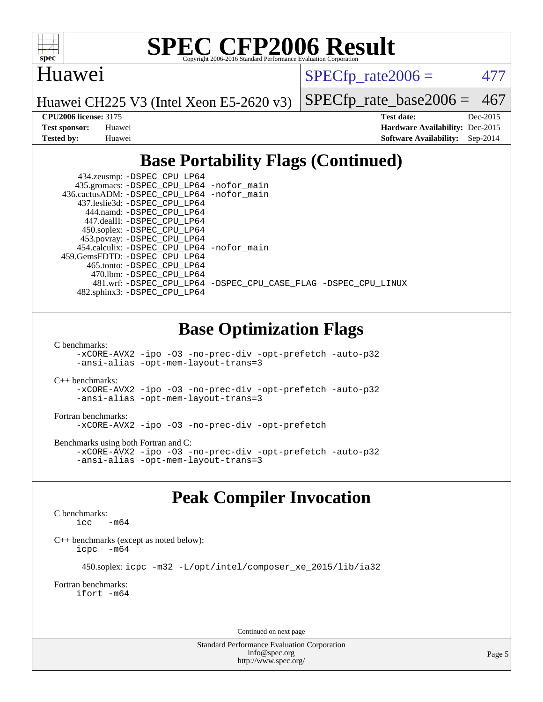

### Huawei

 $SPECTp\_rate2006 = 477$ 

Huawei CH225 V3 (Intel Xeon E5-2620 v3)

[SPECfp\\_rate\\_base2006 =](http://www.spec.org/auto/cpu2006/Docs/result-fields.html#SPECfpratebase2006) 467

**[CPU2006 license:](http://www.spec.org/auto/cpu2006/Docs/result-fields.html#CPU2006license)** 3175 **[Test date:](http://www.spec.org/auto/cpu2006/Docs/result-fields.html#Testdate)** Dec-2015 **[Test sponsor:](http://www.spec.org/auto/cpu2006/Docs/result-fields.html#Testsponsor)** Huawei **[Hardware Availability:](http://www.spec.org/auto/cpu2006/Docs/result-fields.html#HardwareAvailability)** Dec-2015 **[Tested by:](http://www.spec.org/auto/cpu2006/Docs/result-fields.html#Testedby)** Huawei **[Software Availability:](http://www.spec.org/auto/cpu2006/Docs/result-fields.html#SoftwareAvailability)** Sep-2014

# **[Base Portability Flags \(Continued\)](http://www.spec.org/auto/cpu2006/Docs/result-fields.html#BasePortabilityFlags)**

| 434.zeusmp: -DSPEC_CPU_LP64                |                                                                |
|--------------------------------------------|----------------------------------------------------------------|
| 435.gromacs: -DSPEC_CPU_LP64 -nofor_main   |                                                                |
| 436.cactusADM: -DSPEC CPU LP64 -nofor main |                                                                |
| 437.leslie3d: -DSPEC CPU LP64              |                                                                |
| 444.namd: - DSPEC_CPU LP64                 |                                                                |
| 447.dealII: -DSPEC CPU LP64                |                                                                |
| 450.soplex: -DSPEC_CPU_LP64                |                                                                |
| 453.povray: -DSPEC_CPU_LP64                |                                                                |
| 454.calculix: -DSPEC CPU LP64 -nofor main  |                                                                |
| 459. GemsFDTD: - DSPEC CPU LP64            |                                                                |
| 465.tonto: -DSPEC CPU LP64                 |                                                                |
| 470.1bm: - DSPEC CPU LP64                  |                                                                |
|                                            | 481.wrf: -DSPEC_CPU_LP64 -DSPEC_CPU_CASE_FLAG -DSPEC_CPU_LINUX |
| 482.sphinx3: -DSPEC_CPU_LP64               |                                                                |

## **[Base Optimization Flags](http://www.spec.org/auto/cpu2006/Docs/result-fields.html#BaseOptimizationFlags)**

[C benchmarks](http://www.spec.org/auto/cpu2006/Docs/result-fields.html#Cbenchmarks):

[-xCORE-AVX2](http://www.spec.org/cpu2006/results/res2016q1/cpu2006-20160107-38596.flags.html#user_CCbase_f-xAVX2_5f5fc0cbe2c9f62c816d3e45806c70d7) [-ipo](http://www.spec.org/cpu2006/results/res2016q1/cpu2006-20160107-38596.flags.html#user_CCbase_f-ipo) [-O3](http://www.spec.org/cpu2006/results/res2016q1/cpu2006-20160107-38596.flags.html#user_CCbase_f-O3) [-no-prec-div](http://www.spec.org/cpu2006/results/res2016q1/cpu2006-20160107-38596.flags.html#user_CCbase_f-no-prec-div) [-opt-prefetch](http://www.spec.org/cpu2006/results/res2016q1/cpu2006-20160107-38596.flags.html#user_CCbase_f-opt-prefetch) [-auto-p32](http://www.spec.org/cpu2006/results/res2016q1/cpu2006-20160107-38596.flags.html#user_CCbase_f-auto-p32) [-ansi-alias](http://www.spec.org/cpu2006/results/res2016q1/cpu2006-20160107-38596.flags.html#user_CCbase_f-ansi-alias) [-opt-mem-layout-trans=3](http://www.spec.org/cpu2006/results/res2016q1/cpu2006-20160107-38596.flags.html#user_CCbase_f-opt-mem-layout-trans_a7b82ad4bd7abf52556d4961a2ae94d5)

[C++ benchmarks:](http://www.spec.org/auto/cpu2006/Docs/result-fields.html#CXXbenchmarks)

[-xCORE-AVX2](http://www.spec.org/cpu2006/results/res2016q1/cpu2006-20160107-38596.flags.html#user_CXXbase_f-xAVX2_5f5fc0cbe2c9f62c816d3e45806c70d7) [-ipo](http://www.spec.org/cpu2006/results/res2016q1/cpu2006-20160107-38596.flags.html#user_CXXbase_f-ipo) [-O3](http://www.spec.org/cpu2006/results/res2016q1/cpu2006-20160107-38596.flags.html#user_CXXbase_f-O3) [-no-prec-div](http://www.spec.org/cpu2006/results/res2016q1/cpu2006-20160107-38596.flags.html#user_CXXbase_f-no-prec-div) [-opt-prefetch](http://www.spec.org/cpu2006/results/res2016q1/cpu2006-20160107-38596.flags.html#user_CXXbase_f-opt-prefetch) [-auto-p32](http://www.spec.org/cpu2006/results/res2016q1/cpu2006-20160107-38596.flags.html#user_CXXbase_f-auto-p32) [-ansi-alias](http://www.spec.org/cpu2006/results/res2016q1/cpu2006-20160107-38596.flags.html#user_CXXbase_f-ansi-alias) [-opt-mem-layout-trans=3](http://www.spec.org/cpu2006/results/res2016q1/cpu2006-20160107-38596.flags.html#user_CXXbase_f-opt-mem-layout-trans_a7b82ad4bd7abf52556d4961a2ae94d5)

### [Fortran benchmarks](http://www.spec.org/auto/cpu2006/Docs/result-fields.html#Fortranbenchmarks):

[-xCORE-AVX2](http://www.spec.org/cpu2006/results/res2016q1/cpu2006-20160107-38596.flags.html#user_FCbase_f-xAVX2_5f5fc0cbe2c9f62c816d3e45806c70d7) [-ipo](http://www.spec.org/cpu2006/results/res2016q1/cpu2006-20160107-38596.flags.html#user_FCbase_f-ipo) [-O3](http://www.spec.org/cpu2006/results/res2016q1/cpu2006-20160107-38596.flags.html#user_FCbase_f-O3) [-no-prec-div](http://www.spec.org/cpu2006/results/res2016q1/cpu2006-20160107-38596.flags.html#user_FCbase_f-no-prec-div) [-opt-prefetch](http://www.spec.org/cpu2006/results/res2016q1/cpu2006-20160107-38596.flags.html#user_FCbase_f-opt-prefetch)

[Benchmarks using both Fortran and C](http://www.spec.org/auto/cpu2006/Docs/result-fields.html#BenchmarksusingbothFortranandC):

[-xCORE-AVX2](http://www.spec.org/cpu2006/results/res2016q1/cpu2006-20160107-38596.flags.html#user_CC_FCbase_f-xAVX2_5f5fc0cbe2c9f62c816d3e45806c70d7) [-ipo](http://www.spec.org/cpu2006/results/res2016q1/cpu2006-20160107-38596.flags.html#user_CC_FCbase_f-ipo) [-O3](http://www.spec.org/cpu2006/results/res2016q1/cpu2006-20160107-38596.flags.html#user_CC_FCbase_f-O3) [-no-prec-div](http://www.spec.org/cpu2006/results/res2016q1/cpu2006-20160107-38596.flags.html#user_CC_FCbase_f-no-prec-div) [-opt-prefetch](http://www.spec.org/cpu2006/results/res2016q1/cpu2006-20160107-38596.flags.html#user_CC_FCbase_f-opt-prefetch) [-auto-p32](http://www.spec.org/cpu2006/results/res2016q1/cpu2006-20160107-38596.flags.html#user_CC_FCbase_f-auto-p32) [-ansi-alias](http://www.spec.org/cpu2006/results/res2016q1/cpu2006-20160107-38596.flags.html#user_CC_FCbase_f-ansi-alias) [-opt-mem-layout-trans=3](http://www.spec.org/cpu2006/results/res2016q1/cpu2006-20160107-38596.flags.html#user_CC_FCbase_f-opt-mem-layout-trans_a7b82ad4bd7abf52556d4961a2ae94d5)

# **[Peak Compiler Invocation](http://www.spec.org/auto/cpu2006/Docs/result-fields.html#PeakCompilerInvocation)**

### [C benchmarks](http://www.spec.org/auto/cpu2006/Docs/result-fields.html#Cbenchmarks):  $\text{icc}$   $-\text{m64}$

[C++ benchmarks \(except as noted below\):](http://www.spec.org/auto/cpu2006/Docs/result-fields.html#CXXbenchmarksexceptasnotedbelow) [icpc -m64](http://www.spec.org/cpu2006/results/res2016q1/cpu2006-20160107-38596.flags.html#user_CXXpeak_intel_icpc_64bit_bedb90c1146cab66620883ef4f41a67e)

```
 450.soplex: icpc -m32 -L/opt/intel/composer_xe_2015/lib/ia32
```
[Fortran benchmarks](http://www.spec.org/auto/cpu2006/Docs/result-fields.html#Fortranbenchmarks): [ifort -m64](http://www.spec.org/cpu2006/results/res2016q1/cpu2006-20160107-38596.flags.html#user_FCpeak_intel_ifort_64bit_ee9d0fb25645d0210d97eb0527dcc06e)

Continued on next page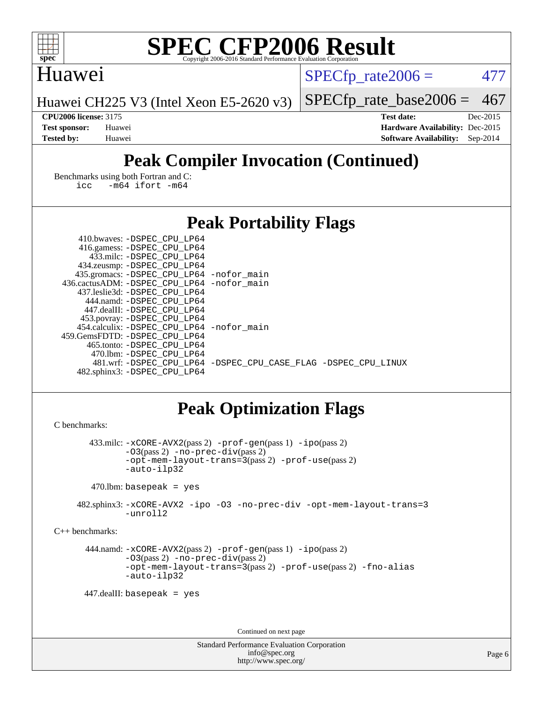

### Huawei

 $SPECTp\_rate2006 = 477$ 

Huawei CH225 V3 (Intel Xeon E5-2620 v3)

[SPECfp\\_rate\\_base2006 =](http://www.spec.org/auto/cpu2006/Docs/result-fields.html#SPECfpratebase2006) 467

**[CPU2006 license:](http://www.spec.org/auto/cpu2006/Docs/result-fields.html#CPU2006license)** 3175 **[Test date:](http://www.spec.org/auto/cpu2006/Docs/result-fields.html#Testdate)** Dec-2015 **[Test sponsor:](http://www.spec.org/auto/cpu2006/Docs/result-fields.html#Testsponsor)** Huawei **[Hardware Availability:](http://www.spec.org/auto/cpu2006/Docs/result-fields.html#HardwareAvailability)** Dec-2015 **[Tested by:](http://www.spec.org/auto/cpu2006/Docs/result-fields.html#Testedby)** Huawei **[Software Availability:](http://www.spec.org/auto/cpu2006/Docs/result-fields.html#SoftwareAvailability)** Sep-2014

# **[Peak Compiler Invocation \(Continued\)](http://www.spec.org/auto/cpu2006/Docs/result-fields.html#PeakCompilerInvocation)**

[Benchmarks using both Fortran and C](http://www.spec.org/auto/cpu2006/Docs/result-fields.html#BenchmarksusingbothFortranandC): [icc -m64](http://www.spec.org/cpu2006/results/res2016q1/cpu2006-20160107-38596.flags.html#user_CC_FCpeak_intel_icc_64bit_0b7121f5ab7cfabee23d88897260401c) [ifort -m64](http://www.spec.org/cpu2006/results/res2016q1/cpu2006-20160107-38596.flags.html#user_CC_FCpeak_intel_ifort_64bit_ee9d0fb25645d0210d97eb0527dcc06e)

## **[Peak Portability Flags](http://www.spec.org/auto/cpu2006/Docs/result-fields.html#PeakPortabilityFlags)**

| 410.bwaves: -DSPEC CPU LP64                |                                                                |
|--------------------------------------------|----------------------------------------------------------------|
| 416.gamess: -DSPEC_CPU_LP64                |                                                                |
| 433.milc: -DSPEC CPU LP64                  |                                                                |
| 434.zeusmp: -DSPEC_CPU_LP64                |                                                                |
| 435.gromacs: -DSPEC_CPU_LP64 -nofor_main   |                                                                |
| 436.cactusADM: -DSPEC CPU LP64 -nofor main |                                                                |
| 437.leslie3d: -DSPEC CPU LP64              |                                                                |
| 444.namd: -DSPEC CPU LP64                  |                                                                |
| 447.dealII: -DSPEC CPU LP64                |                                                                |
| 453.povray: - DSPEC_CPU_LP64               |                                                                |
| 454.calculix: -DSPEC CPU LP64 -nofor main  |                                                                |
| 459. GemsFDTD: - DSPEC CPU LP64            |                                                                |
| 465.tonto: -DSPEC_CPU LP64                 |                                                                |
| 470.1bm: - DSPEC CPU LP64                  |                                                                |
|                                            | 481.wrf: -DSPEC CPU_LP64 -DSPEC_CPU_CASE_FLAG -DSPEC_CPU_LINUX |
| 482.sphinx3: -DSPEC_CPU_LP64               |                                                                |

## **[Peak Optimization Flags](http://www.spec.org/auto/cpu2006/Docs/result-fields.html#PeakOptimizationFlags)**

```
C benchmarks: 
        433.milc: -xCORE-AVX2(pass 2) -prof-gen(pass 1) -ipo(pass 2)
               -O3(pass 2) -no-prec-div(pass 2)
               -opt-mem-layout-trans=3(pass 2) -prof-use(pass 2)
               -auto-ilp32
        470.lbm: basepeak = yes
     482.sphinx3: -xCORE-AVX2 -ipo -O3 -no-prec-div -opt-mem-layout-trans=3
               -unroll2
C++ benchmarks: 
       444.namd: -xCORE-AVX2(pass 2) -prof-gen(pass 1) -ipo(pass 2)
               -O3(pass 2) -no-prec-div(pass 2)
               -opt-mem-layout-trans=3(pass 2) -prof-use(pass 2) -fno-alias
               -auto-ilp32
       447.dealII: basepeak = yes
```
Continued on next page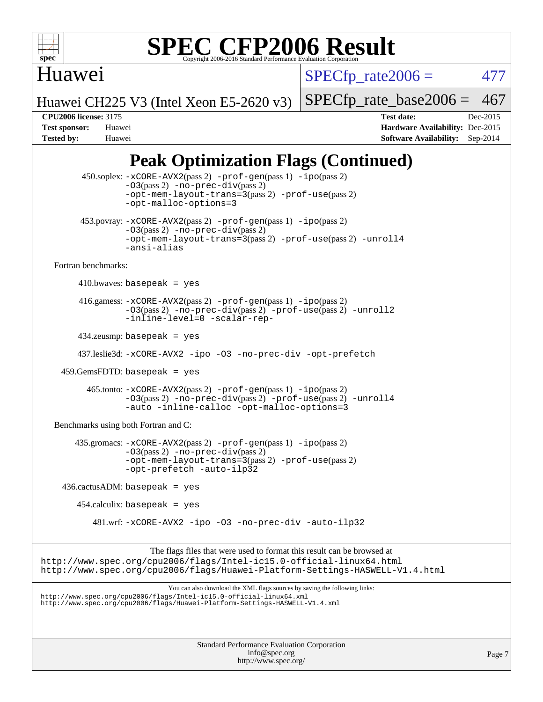

## Huawei

 $SPECfp_rate2006 = 477$  $SPECfp_rate2006 = 477$ 

Huawei CH225 V3 (Intel Xeon E5-2620 v3)

[SPECfp\\_rate\\_base2006 =](http://www.spec.org/auto/cpu2006/Docs/result-fields.html#SPECfpratebase2006) 467

**[CPU2006 license:](http://www.spec.org/auto/cpu2006/Docs/result-fields.html#CPU2006license)** 3175 **[Test date:](http://www.spec.org/auto/cpu2006/Docs/result-fields.html#Testdate)** Dec-2015 **[Test sponsor:](http://www.spec.org/auto/cpu2006/Docs/result-fields.html#Testsponsor)** Huawei **[Hardware Availability:](http://www.spec.org/auto/cpu2006/Docs/result-fields.html#HardwareAvailability)** Dec-2015 **[Tested by:](http://www.spec.org/auto/cpu2006/Docs/result-fields.html#Testedby)** Huawei **[Software Availability:](http://www.spec.org/auto/cpu2006/Docs/result-fields.html#SoftwareAvailability)** Sep-2014

# **[Peak Optimization Flags \(Continued\)](http://www.spec.org/auto/cpu2006/Docs/result-fields.html#PeakOptimizationFlags)**

|                                      | 450.soplex: -xCORE-AVX2(pass 2) -prof-gen(pass 1) -ipo(pass 2)<br>$-03(pass 2)$ -no-prec-div(pass 2)<br>-opt-mem-layout-trans=3(pass 2) -prof-use(pass 2)<br>-opt-malloc-options=3                                               |        |
|--------------------------------------|----------------------------------------------------------------------------------------------------------------------------------------------------------------------------------------------------------------------------------|--------|
|                                      | 453.povray: -xCORE-AVX2(pass 2) -prof-gen(pass 1) -ipo(pass 2)<br>$-03(pass 2)$ -no-prec-div(pass 2)<br>-opt-mem-layout-trans=3(pass 2) -prof-use(pass 2) -unroll4<br>-ansi-alias                                                |        |
| Fortran benchmarks:                  |                                                                                                                                                                                                                                  |        |
|                                      | $410.bwaves: basepeak = yes$                                                                                                                                                                                                     |        |
|                                      | $416 \text{.games: } -x \text{CORE} - \text{AVX2}(pass 2) - \text{prof-gen}(pass 1) - \text{ipo}(pass 2)$<br>-03(pass 2) -no-prec-div(pass 2) -prof-use(pass 2) -unroll2<br>-inline-level=0 -scalar-rep-                         |        |
|                                      | $434$ .zeusmp: basepeak = yes                                                                                                                                                                                                    |        |
|                                      | 437.leslie3d: -xCORE-AVX2 -ipo -03 -no-prec-div -opt-prefetch                                                                                                                                                                    |        |
|                                      | $459.GemsFDTD: basepeak = yes$                                                                                                                                                                                                   |        |
|                                      | 465.tonto: -xCORE-AVX2(pass 2) -prof-gen(pass 1) -ipo(pass 2)<br>-03(pass 2) -no-prec-div(pass 2) -prof-use(pass 2) -unroll4<br>-auto -inline-calloc -opt-malloc-options=3                                                       |        |
| Benchmarks using both Fortran and C: |                                                                                                                                                                                                                                  |        |
|                                      | 435.gromacs: -xCORE-AVX2(pass 2) -prof-gen(pass 1) -ipo(pass 2)<br>$-03(pass 2)$ -no-prec-div(pass 2)<br>-opt-mem-layout-trans=3(pass 2) -prof-use(pass 2)<br>-opt-prefetch -auto-ilp32                                          |        |
|                                      | $436.cactusADM:basepeak = yes$                                                                                                                                                                                                   |        |
|                                      | $454$ .calculix: basepeak = yes                                                                                                                                                                                                  |        |
|                                      | 481.wrf: -xCORE-AVX2 -ipo -03 -no-prec-div -auto-ilp32                                                                                                                                                                           |        |
|                                      | The flags files that were used to format this result can be browsed at<br>http://www.spec.org/cpu2006/flags/Intel-ic15.0-official-linux64.html<br>http://www.spec.org/cpu2006/flags/Huawei-Platform-Settings-HASWELL-V1.4.html   |        |
|                                      | You can also download the XML flags sources by saving the following links:<br>http://www.spec.org/cpu2006/flags/Intel-ic15.0-official-linux64.xml<br>http://www.spec.org/cpu2006/flags/Huawei-Platform-Settings-HASWELL-V1.4.xml |        |
|                                      |                                                                                                                                                                                                                                  |        |
|                                      | Standard Performance Evaluation Corporation<br>info@spec.org<br>http://www.spec.org/                                                                                                                                             | Page 7 |